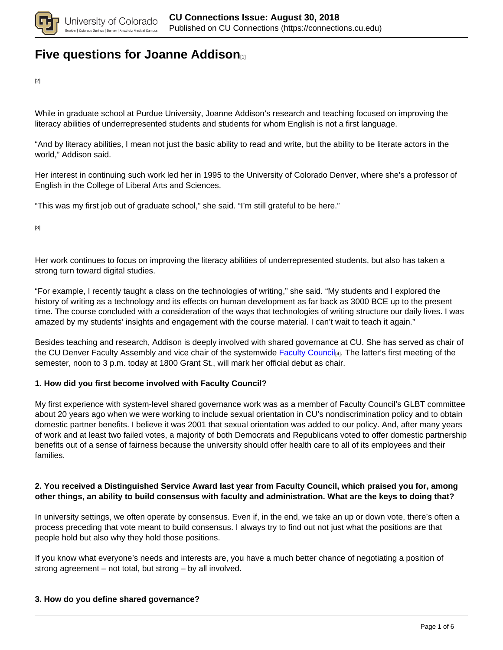

## **[Five questions for Joanne Addison](https://connections.cu.edu/spotlights/five-questions-joanne-addison)**

[2]

While in graduate school at Purdue University, Joanne Addison's research and teaching focused on improving the literacy abilities of underrepresented students and students for whom English is not a first language.

"And by literacy abilities, I mean not just the basic ability to read and write, but the ability to be literate actors in the world," Addison said.

Her interest in continuing such work led her in 1995 to the University of Colorado Denver, where she's a professor of English in the College of Liberal Arts and Sciences.

"This was my first job out of graduate school," she said. "I'm still grateful to be here."

[3]

Her work continues to focus on improving the literacy abilities of underrepresented students, but also has taken a strong turn toward digital studies.

"For example, I recently taught a class on the technologies of writing," she said. "My students and I explored the history of writing as a technology and its effects on human development as far back as 3000 BCE up to the present time. The course concluded with a consideration of the ways that technologies of writing structure our daily lives. I was amazed by my students' insights and engagement with the course material. I can't wait to teach it again."

Besides teaching and research, Addison is deeply involved with shared governance at CU. She has served as chair of the CU Denver Faculty Assembly and vice chair of the systemwide Faculty Council<sub>[4]</sub>. The latter's first meeting of the semester, noon to 3 p.m. today at 1800 Grant St., will mark her official debut as chair.

### **1. How did you first become involved with Faculty Council?**

My first experience with system-level shared governance work was as a member of Faculty Council's GLBT committee about 20 years ago when we were working to include sexual orientation in CU's nondiscrimination policy and to obtain domestic partner benefits. I believe it was 2001 that sexual orientation was added to our policy. And, after many years of work and at least two failed votes, a majority of both Democrats and Republicans voted to offer domestic partnership benefits out of a sense of fairness because the university should offer health care to all of its employees and their families.

### **2. You received a Distinguished Service Award last year from Faculty Council, which praised you for, among other things, an ability to build consensus with faculty and administration. What are the keys to doing that?**

In university settings, we often operate by consensus. Even if, in the end, we take an up or down vote, there's often a process preceding that vote meant to build consensus. I always try to find out not just what the positions are that people hold but also why they hold those positions.

If you know what everyone's needs and interests are, you have a much better chance of negotiating a position of strong agreement – not total, but strong – by all involved.

### **3. How do you define shared governance?**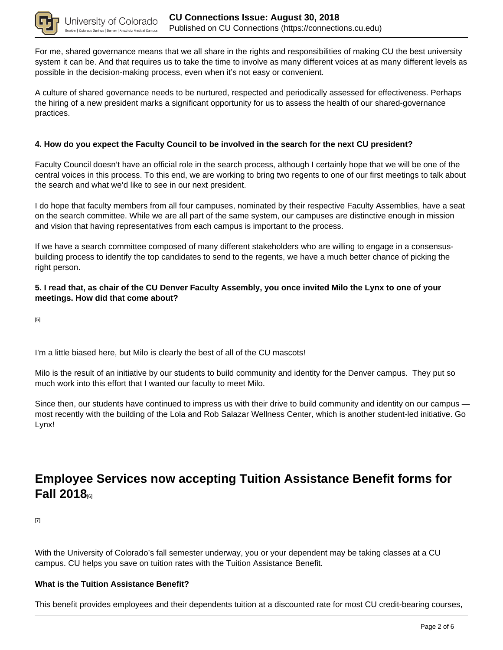

For me, shared governance means that we all share in the rights and responsibilities of making CU the best university system it can be. And that requires us to take the time to involve as many different voices at as many different levels as possible in the decision-making process, even when it's not easy or convenient.

A culture of shared governance needs to be nurtured, respected and periodically assessed for effectiveness. Perhaps the hiring of a new president marks a significant opportunity for us to assess the health of our shared-governance practices.

### **4. How do you expect the Faculty Council to be involved in the search for the next CU president?**

Faculty Council doesn't have an official role in the search process, although I certainly hope that we will be one of the central voices in this process. To this end, we are working to bring two regents to one of our first meetings to talk about the search and what we'd like to see in our next president.

I do hope that faculty members from all four campuses, nominated by their respective Faculty Assemblies, have a seat on the search committee. While we are all part of the same system, our campuses are distinctive enough in mission and vision that having representatives from each campus is important to the process.

If we have a search committee composed of many different stakeholders who are willing to engage in a consensusbuilding process to identify the top candidates to send to the regents, we have a much better chance of picking the right person.

### **5. I read that, as chair of the CU Denver Faculty Assembly, you once invited Milo the Lynx to one of your meetings. How did that come about?**

[5]

I'm a little biased here, but Milo is clearly the best of all of the CU mascots!

Milo is the result of an initiative by our students to build community and identity for the Denver campus. They put so much work into this effort that I wanted our faculty to meet Milo.

Since then, our students have continued to impress us with their drive to build community and identity on our campus most recently with the building of the Lola and Rob Salazar Wellness Center, which is another student-led initiative. Go Lynx!

## **Employee Services now accepting Tuition Assistance Benefit forms for Fall 2018**[6]

[7]

With the University of Colorado's fall semester underway, you or your dependent may be taking classes at a CU campus. CU helps you save on tuition rates with the Tuition Assistance Benefit.

### **What is the Tuition Assistance Benefit?**

This benefit provides employees and their dependents tuition at a discounted rate for most CU credit-bearing courses,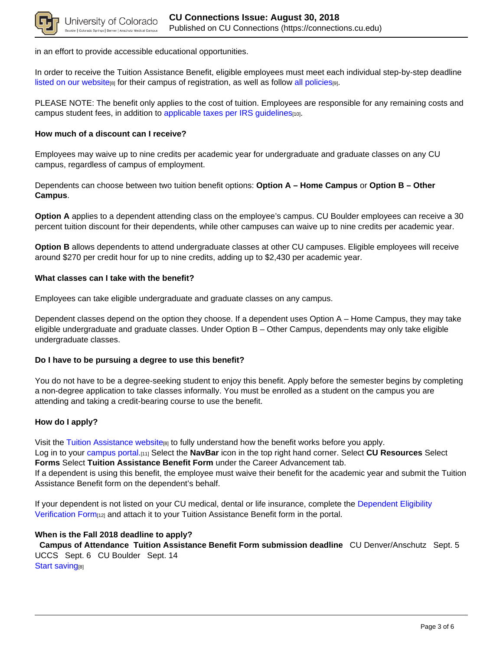

in an effort to provide accessible educational opportunities.

In order to receive the Tuition Assistance Benefit, eligible employees must meet each individual step-by-step deadline listed on our website $_{[8]}$  for their campus of registration, as well as follow all policies $_{[9]}$ .

PLEASE NOTE: The benefit only applies to the cost of tuition. Employees are responsible for any remaining costs and campus student fees, in addition to applicable taxes per IRS guidelines[10].

### **How much of a discount can I receive?**

Employees may waive up to nine credits per academic year for undergraduate and graduate classes on any CU campus, regardless of campus of employment.

Dependents can choose between two tuition benefit options: **Option A – Home Campus** or **Option B – Other Campus**.

**Option A** applies to a dependent attending class on the employee's campus. CU Boulder employees can receive a 30 percent tuition discount for their dependents, while other campuses can waive up to nine credits per academic year.

**Option B** allows dependents to attend undergraduate classes at other CU campuses. Eligible employees will receive around \$270 per credit hour for up to nine credits, adding up to \$2,430 per academic year.

#### **What classes can I take with the benefit?**

Employees can take eligible undergraduate and graduate classes on any campus.

Dependent classes depend on the option they choose. If a dependent uses Option A – Home Campus, they may take eligible undergraduate and graduate classes. Under Option B – Other Campus, dependents may only take eligible undergraduate classes.

#### **Do I have to be pursuing a degree to use this benefit?**

You do not have to be a degree-seeking student to enjoy this benefit. Apply before the semester begins by completing a non-degree application to take classes informally. You must be enrolled as a student on the campus you are attending and taking a credit-bearing course to use the benefit.

#### **How do I apply?**

Visit the Tuition Assistance website<sub>[8]</sub> to fully understand how the benefit works before you apply. Log in to your campus portal.[11] Select the **NavBar** icon in the top right hand corner. Select **CU Resources** Select **Forms** Select **Tuition Assistance Benefit Form** under the Career Advancement tab. If a dependent is using this benefit, the employee must waive their benefit for the academic year and submit the Tuition Assistance Benefit form on the dependent's behalf.

If your dependent is not listed on your CU medical, dental or life insurance, complete the Dependent Eligibility Verification Form<sub>[12]</sub> and attach it to your Tuition Assistance Benefit form in the portal.

#### **When is the Fall 2018 deadline to apply?**

 **Campus of Attendance Tuition Assistance Benefit Form submission deadline** CU Denver/Anschutz Sept. 5 UCCS Sept. 6 CU Boulder Sept. 14 Start saving<sub>[8]</sub>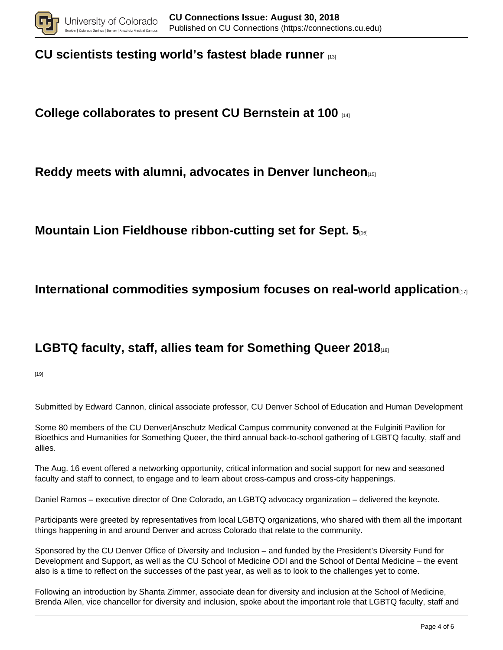

## **CU scientists testing world's fastest blade runner** [13]

## **College collaborates to present CU Bernstein at 100** [14]

## **Reddy meets with alumni, advocates in Denver luncheon**[15]

## **Mountain Lion Fieldhouse ribbon-cutting set for Sept. 5**[16]

## **International commodities symposium focuses on real-world application**

# **LGBTQ faculty, staff, allies team for Something Queer 2018**[18]

[19]

Submitted by Edward Cannon, clinical associate professor, CU Denver School of Education and Human Development

Some 80 members of the CU Denver|Anschutz Medical Campus community convened at the Fulginiti Pavilion for Bioethics and Humanities for Something Queer, the third annual back-to-school gathering of LGBTQ faculty, staff and allies.

The Aug. 16 event offered a networking opportunity, critical information and social support for new and seasoned faculty and staff to connect, to engage and to learn about cross-campus and cross-city happenings.

Daniel Ramos – executive director of One Colorado, an LGBTQ advocacy organization – delivered the keynote.

Participants were greeted by representatives from local LGBTQ organizations, who shared with them all the important things happening in and around Denver and across Colorado that relate to the community.

Sponsored by the CU Denver Office of Diversity and Inclusion – and funded by the President's Diversity Fund for Development and Support, as well as the CU School of Medicine ODI and the School of Dental Medicine – the event also is a time to reflect on the successes of the past year, as well as to look to the challenges yet to come.

Following an introduction by Shanta Zimmer, associate dean for diversity and inclusion at the School of Medicine, Brenda Allen, vice chancellor for diversity and inclusion, spoke about the important role that LGBTQ faculty, staff and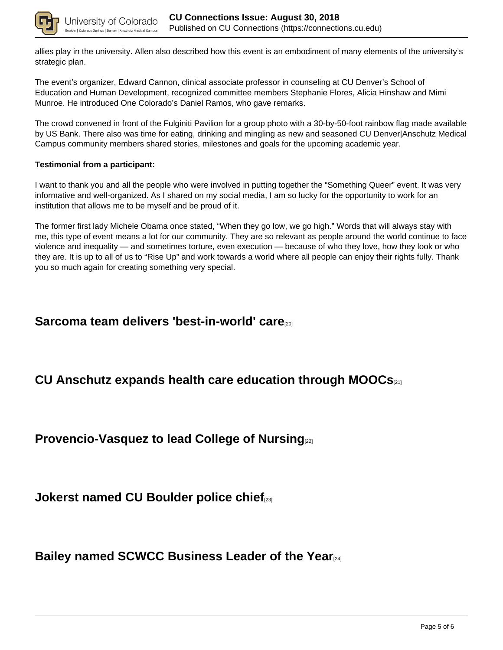

allies play in the university. Allen also described how this event is an embodiment of many elements of the university's strategic plan.

The event's organizer, Edward Cannon, clinical associate professor in counseling at CU Denver's School of Education and Human Development, recognized committee members Stephanie Flores, Alicia Hinshaw and Mimi Munroe. He introduced One Colorado's Daniel Ramos, who gave remarks.

The crowd convened in front of the Fulginiti Pavilion for a group photo with a 30-by-50-foot rainbow flag made available by US Bank. There also was time for eating, drinking and mingling as new and seasoned CU Denver|Anschutz Medical Campus community members shared stories, milestones and goals for the upcoming academic year.

### **Testimonial from a participant:**

I want to thank you and all the people who were involved in putting together the "Something Queer" event. It was very informative and well-organized. As I shared on my social media, I am so lucky for the opportunity to work for an institution that allows me to be myself and be proud of it.

The former first lady Michele Obama once stated, "When they go low, we go high." Words that will always stay with me, this type of event means a lot for our community. They are so relevant as people around the world continue to face violence and inequality — and sometimes torture, even execution — because of who they love, how they look or who they are. It is up to all of us to "Rise Up" and work towards a world where all people can enjoy their rights fully. Thank you so much again for creating something very special.

### **Sarcoma team delivers 'best-in-world' care**[20]

## **CU Anschutz expands health care education through MOOCs**[21]

**Provencio-Vasquez to lead College of Nursing**[22]

**Jokerst named CU Boulder police chief**[23]

**Bailey named SCWCC Business Leader of the Year**[24]